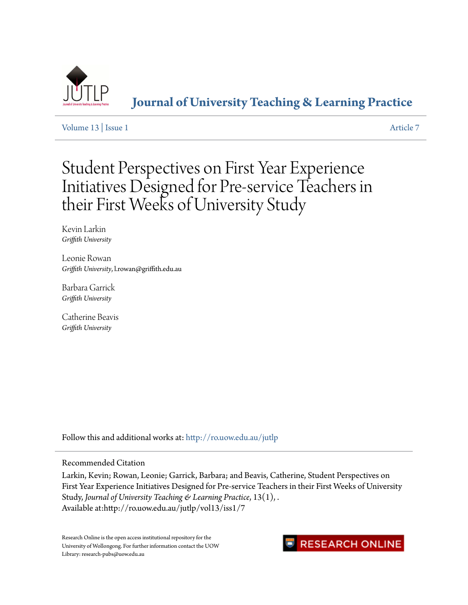

**[Journal of University Teaching & Learning Practice](http://ro.uow.edu.au/jutlp?utm_source=ro.uow.edu.au%2Fjutlp%2Fvol13%2Fiss1%2F7&utm_medium=PDF&utm_campaign=PDFCoverPages)**

[Volume 13](http://ro.uow.edu.au/jutlp/vol13?utm_source=ro.uow.edu.au%2Fjutlp%2Fvol13%2Fiss1%2F7&utm_medium=PDF&utm_campaign=PDFCoverPages) | [Issue 1](http://ro.uow.edu.au/jutlp/vol13/iss1?utm_source=ro.uow.edu.au%2Fjutlp%2Fvol13%2Fiss1%2F7&utm_medium=PDF&utm_campaign=PDFCoverPages) [Article 7](http://ro.uow.edu.au/jutlp/vol13/iss1/7?utm_source=ro.uow.edu.au%2Fjutlp%2Fvol13%2Fiss1%2F7&utm_medium=PDF&utm_campaign=PDFCoverPages)

Student Perspectives on First Year Experience Initiatives Designed for Pre-service Teachers in their First Weeks of University Study

Kevin Larkin *Griffith University*

Leonie Rowan *Griffith University*, l.rowan@griffith.edu.au

Barbara Garrick *Griffith University*

Catherine Beavis *Griffith University*

Follow this and additional works at: [http://ro.uow.edu.au/jutlp](http://ro.uow.edu.au/jutlp?utm_source=ro.uow.edu.au%2Fjutlp%2Fvol13%2Fiss1%2F7&utm_medium=PDF&utm_campaign=PDFCoverPages)

Recommended Citation

Larkin, Kevin; Rowan, Leonie; Garrick, Barbara; and Beavis, Catherine, Student Perspectives on First Year Experience Initiatives Designed for Pre-service Teachers in their First Weeks of University Study, *Journal of University Teaching & Learning Practice*, 13(1), . Available at:http://ro.uow.edu.au/jutlp/vol13/iss1/7

Research Online is the open access institutional repository for the University of Wollongong. For further information contact the UOW Library: research-pubs@uow.edu.au

## **RESEARCH ONLINE**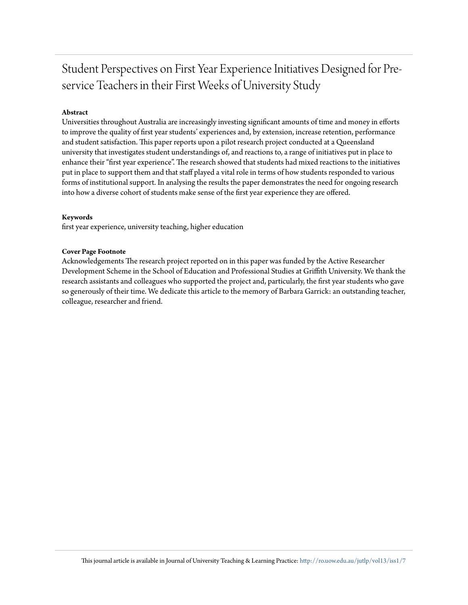# Student Perspectives on First Year Experience Initiatives Designed for Preservice Teachers in their First Weeks of University Study

## **Abstract**

Universities throughout Australia are increasingly investing significant amounts of time and money in efforts to improve the quality of first year students' experiences and, by extension, increase retention, performance and student satisfaction. This paper reports upon a pilot research project conducted at a Queensland university that investigates student understandings of, and reactions to, a range of initiatives put in place to enhance their "first year experience". The research showed that students had mixed reactions to the initiatives put in place to support them and that staff played a vital role in terms of how students responded to various forms of institutional support. In analysing the results the paper demonstrates the need for ongoing research into how a diverse cohort of students make sense of the first year experience they are offered.

#### **Keywords**

first year experience, university teaching, higher education

#### **Cover Page Footnote**

Acknowledgements The research project reported on in this paper was funded by the Active Researcher Development Scheme in the School of Education and Professional Studies at Griffith University. We thank the research assistants and colleagues who supported the project and, particularly, the first year students who gave so generously of their time. We dedicate this article to the memory of Barbara Garrick: an outstanding teacher, colleague, researcher and friend.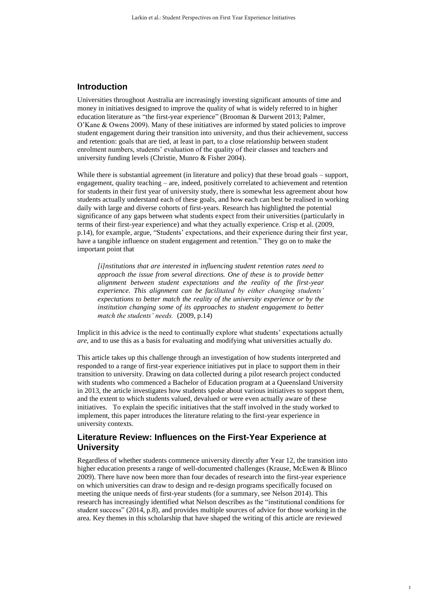## **Introduction**

Universities throughout Australia are increasingly investing significant amounts of time and money in initiatives designed to improve the quality of what is widely referred to in higher education literature as "the first-year experience" (Brooman & Darwent 2013; Palmer, O'Kane & Owens 2009). Many of these initiatives are informed by stated policies to improve student engagement during their transition into university, and thus their achievement, success and retention: goals that are tied, at least in part, to a close relationship between student enrolment numbers, students' evaluation of the quality of their classes and teachers and university funding levels (Christie, Munro & Fisher 2004).

While there is substantial agreement (in literature and policy) that these broad goals – support, engagement, quality teaching – are, indeed, positively correlated to achievement and retention for students in their first year of university study, there is somewhat less agreement about how students actually understand each of these goals, and how each can best be realised in working daily with large and diverse cohorts of first-years. Research has highlighted the potential significance of any gaps between what students expect from their universities (particularly in terms of their first-year experience) and what they actually experience. Crisp et al. (2009, p.14), for example, argue, "Students' expectations, and their experience during their first year, have a tangible influence on student engagement and retention." They go on to make the important point that

*[i]nstitutions that are interested in influencing student retention rates need to approach the issue from several directions. One of these is to provide better alignment between student expectations and the reality of the first-year experience. This alignment can be facilitated by either changing students' expectations to better match the reality of the university experience or by the institution changing some of its approaches to student engagement to better match the students' needs.* (2009, p.14)

Implicit in this advice is the need to continually explore what students' expectations actually *are*, and to use this as a basis for evaluating and modifying what universities actually *do*.

This article takes up this challenge through an investigation of how students interpreted and responded to a range of first-year experience initiatives put in place to support them in their transition to university. Drawing on data collected during a pilot research project conducted with students who commenced a Bachelor of Education program at a Queensland University in 2013, the article investigates how students spoke about various initiatives to support them, and the extent to which students valued, devalued or were even actually aware of these initiatives. To explain the specific initiatives that the staff involved in the study worked to implement, this paper introduces the literature relating to the first-year experience in university contexts.

## **Literature Review: Influences on the First-Year Experience at University**

Regardless of whether students commence university directly after Year 12, the transition into higher education presents a range of well-documented challenges (Krause, McEwen & Blinco 2009). There have now been more than four decades of research into the first-year experience on which universities can draw to design and re-design programs specifically focused on meeting the unique needs of first-year students (for a summary, see Nelson 2014). This research has increasingly identified what Nelson describes as the "institutional conditions for student success" (2014, p.8), and provides multiple sources of advice for those working in the area. Key themes in this scholarship that have shaped the writing of this article are reviewed

1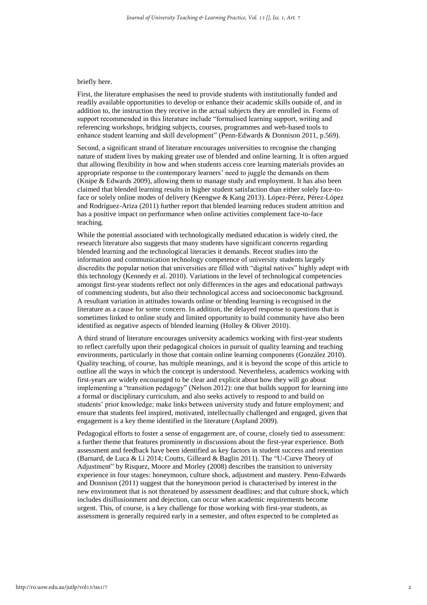#### briefly here.

First, the literature emphasises the need to provide students with institutionally funded and readily available opportunities to develop or enhance their academic skills outside of, and in addition to, the instruction they receive in the actual subjects they are enrolled in. Forms of support recommended in this literature include "formalised learning support, writing and referencing workshops, bridging subjects, courses, programmes and web-based tools to enhance student learning and skill development" (Penn-Edwards & Donnison 2011, p.569).

Second, a significant strand of literature encourages universities to recognise the changing nature of student lives by making greater use of blended and online learning. It is often argued that allowing flexibility in how and when students access core learning materials provides an appropriate response to the contemporary learners' need to juggle the demands on them (Knipe & Edwards 2009), allowing them to manage study and employment. It has also been claimed that blended learning results in higher student satisfaction than either solely face-toface or solely online modes of delivery (Keengwe & Kang 2013). López-Pérez, Pérez-López and Rodríguez-Ariza (2011) further report that blended learning reduces student attrition and has a positive impact on performance when online activities complement face-to-face teaching.

While the potential associated with technologically mediated education is widely cited, the research literature also suggests that many students have significant concerns regarding blended learning and the technological literacies it demands. Recent studies into the information and communication technology competence of university students largely discredits the popular notion that universities are filled with "digital natives" highly adept with this technology (Kennedy et al. 2010). Variations in the level of technological competencies amongst first-year students reflect not only differences in the ages and educational pathways of commencing students, but also their technological access and socioeconomic background. A resultant variation in attitudes towards online or blending learning is recognised in the literature as a cause for some concern. In addition, the delayed response to questions that is sometimes linked to online study and limited opportunity to build community have also been identified as negative aspects of blended learning (Holley & Oliver 2010).

A third strand of literature encourages university academics working with first-year students to reflect carefully upon their pedagogical choices in pursuit of quality learning and teaching environments, particularly in those that contain online learning components (González 2010). Quality teaching, of course, has multiple meanings, and it is beyond the scope of this article to outline all the ways in which the concept is understood. Nevertheless, academics working with first-years are widely encouraged to be clear and explicit about how they will go about implementing a "transition pedagogy" (Nelson 2012): one that builds support for learning into a formal or disciplinary curriculum, and also seeks actively to respond to and build on students' prior knowledge; make links between university study and future employment; and ensure that students feel inspired, motivated, intellectually challenged and engaged, given that engagement is a key theme identified in the literature (Aspland 2009).

Pedagogical efforts to foster a sense of engagement are, of course, closely tied to assessment: a further theme that features prominently in discussions about the first-year experience. Both assessment and feedback have been identified as key factors in student success and retention (Barnard, de Luca & Li 2014; Coutts, Gilleard & Baglin 2011). The "U-Curve Theory of Adjustment" by Risquez, Moore and Morley (2008) describes the transition to university experience in four stages: honeymoon, culture shock, adjustment and mastery. Penn-Edwards and Donnison (2011) suggest that the honeymoon period is characterised by interest in the new environment that is not threatened by assessment deadlines; and that culture shock, which includes disillusionment and dejection, can occur when academic requirements become urgent. This, of course, is a key challenge for those working with first-year students, as assessment is generally required early in a semester, and often expected to be completed as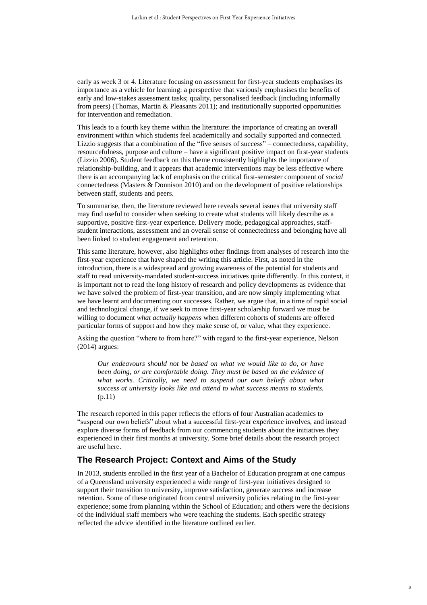early as week 3 or 4. Literature focusing on assessment for first-year students emphasises its importance as a vehicle for learning: a perspective that variously emphasises the benefits of early and low-stakes assessment tasks; quality, personalised feedback (including informally from peers) (Thomas, Martin & Pleasants 2011); and institutionally supported opportunities for intervention and remediation.

This leads to a fourth key theme within the literature: the importance of creating an overall environment within which students feel academically and socially supported and connected. Lizzio suggests that a combination of the "five senses of success" – connectedness, capability, resourcefulness, purpose and culture – have a significant positive impact on first-year students (Lizzio 2006). Student feedback on this theme consistently highlights the importance of relationship-building, and it appears that academic interventions may be less effective where there is an accompanying lack of emphasis on the critical first-semester component of *social* connectedness (Masters & Donnison 2010) and on the development of positive relationships between staff, students and peers.

To summarise, then, the literature reviewed here reveals several issues that university staff may find useful to consider when seeking to create what students will likely describe as a supportive, positive first-year experience. Delivery mode, pedagogical approaches, staffstudent interactions, assessment and an overall sense of connectedness and belonging have all been linked to student engagement and retention.

This same literature, however, also highlights other findings from analyses of research into the first-year experience that have shaped the writing this article. First, as noted in the introduction, there is a widespread and growing awareness of the potential for students and staff to read university-mandated student-success initiatives quite differently. In this context, it is important not to read the long history of research and policy developments as evidence that we have solved the problem of first-year transition, and are now simply implementing what we have learnt and documenting our successes. Rather, we argue that, in a time of rapid social and technological change, if we seek to move first-year scholarship forward we must be willing to document *what actually happens* when different cohorts of students are offered particular forms of support and how they make sense of, or value, what they experience.

Asking the question "where to from here?" with regard to the first-year experience, Nelson (2014) argues:

*Our endeavours should not be based on what we would like to do, or have been doing, or are comfortable doing. They must be based on the evidence of what works. Critically, we need to suspend our own beliefs about what success at university looks like and attend to what success means to students.*  (p.11)

The research reported in this paper reflects the efforts of four Australian academics to "suspend our own beliefs" about what a successful first-year experience involves, and instead explore diverse forms of feedback from our commencing students about the initiatives they experienced in their first months at university. Some brief details about the research project are useful here.

## **The Research Project: Context and Aims of the Study**

In 2013, students enrolled in the first year of a Bachelor of Education program at one campus of a Queensland university experienced a wide range of first-year initiatives designed to support their transition to university, improve satisfaction, generate success and increase retention. Some of these originated from central university policies relating to the first-year experience; some from planning within the School of Education; and others were the decisions of the individual staff members who were teaching the students. Each specific strategy reflected the advice identified in the literature outlined earlier.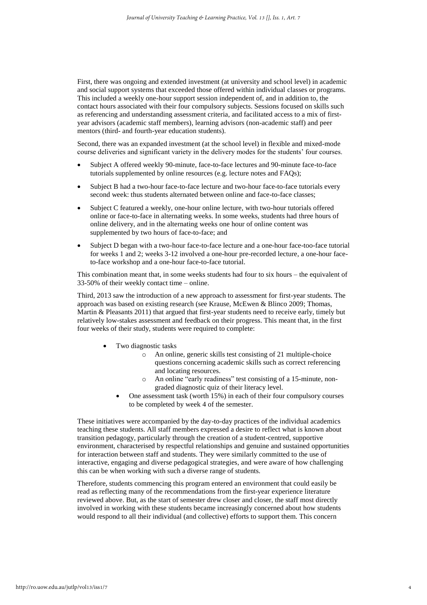First, there was ongoing and extended investment (at university and school level) in academic and social support systems that exceeded those offered within individual classes or programs. This included a weekly one-hour support session independent of, and in addition to, the contact hours associated with their four compulsory subjects. Sessions focused on skills such as referencing and understanding assessment criteria, and facilitated access to a mix of firstyear advisors (academic staff members), learning advisors (non-academic staff) and peer mentors (third- and fourth-year education students).

Second, there was an expanded investment (at the school level) in flexible and mixed-mode course deliveries and significant variety in the delivery modes for the students' four courses.

- Subject A offered weekly 90-minute, face-to-face lectures and 90-minute face-to-face tutorials supplemented by online resources (e.g. lecture notes and FAQs);
- Subject B had a two-hour face-to-face lecture and two-hour face-to-face tutorials every second week: thus students alternated between online and face-to-face classes;
- Subject C featured a weekly, one-hour online lecture, with two-hour tutorials offered online or face-to-face in alternating weeks. In some weeks, students had three hours of online delivery, and in the alternating weeks one hour of online content was supplemented by two hours of face-to-face; and
- Subject D began with a two-hour face-to-face lecture and a one-hour face-too-face tutorial for weeks 1 and 2; weeks 3-12 involved a one-hour pre-recorded lecture, a one-hour faceto-face workshop and a one-hour face-to-face tutorial.

This combination meant that, in some weeks students had four to six hours – the equivalent of 33-50% of their weekly contact time – online.

Third, 2013 saw the introduction of a new approach to assessment for first-year students. The approach was based on existing research (see Krause, McEwen & Blinco 2009; Thomas, Martin & Pleasants 2011) that argued that first-year students need to receive early, timely but relatively low-stakes assessment and feedback on their progress. This meant that, in the first four weeks of their study, students were required to complete:

- Two diagnostic tasks
	- o An online, generic skills test consisting of 21 multiple-choice questions concerning academic skills such as correct referencing and locating resources.
	- o An online "early readiness" test consisting of a 15-minute, nongraded diagnostic quiz of their literacy level.
	- One assessment task (worth 15%) in each of their four compulsory courses to be completed by week 4 of the semester.

These initiatives were accompanied by the day-to-day practices of the individual academics teaching these students. All staff members expressed a desire to reflect what is known about transition pedagogy, particularly through the creation of a student-centred, supportive environment, characterised by respectful relationships and genuine and sustained opportunities for interaction between staff and students. They were similarly committed to the use of interactive, engaging and diverse pedagogical strategies, and were aware of how challenging this can be when working with such a diverse range of students.

Therefore, students commencing this program entered an environment that could easily be read as reflecting many of the recommendations from the first-year experience literature reviewed above. But, as the start of semester drew closer and closer, the staff most directly involved in working with these students became increasingly concerned about how students would respond to all their individual (and collective) efforts to support them. This concern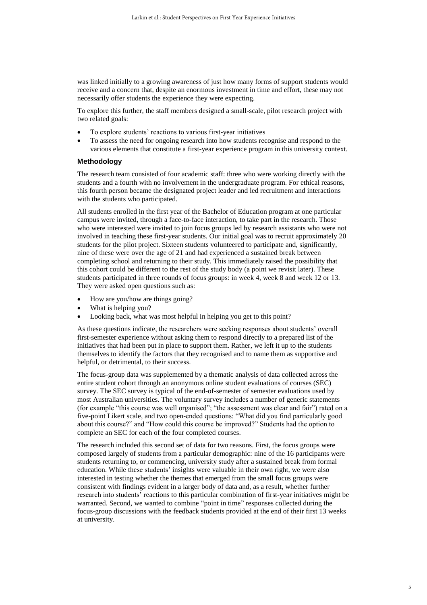was linked initially to a growing awareness of just how many forms of support students would receive and a concern that, despite an enormous investment in time and effort, these may not necessarily offer students the experience they were expecting.

To explore this further, the staff members designed a small-scale, pilot research project with two related goals:

- To explore students' reactions to various first-year initiatives
- To assess the need for ongoing research into how students recognise and respond to the various elements that constitute a first-year experience program in this university context.

#### **Methodology**

The research team consisted of four academic staff: three who were working directly with the students and a fourth with no involvement in the undergraduate program. For ethical reasons, this fourth person became the designated project leader and led recruitment and interactions with the students who participated.

All students enrolled in the first year of the Bachelor of Education program at one particular campus were invited, through a face-to-face interaction, to take part in the research. Those who were interested were invited to join focus groups led by research assistants who were not involved in teaching these first-year students. Our initial goal was to recruit approximately 20 students for the pilot project. Sixteen students volunteered to participate and, significantly, nine of these were over the age of 21 and had experienced a sustained break between completing school and returning to their study. This immediately raised the possibility that this cohort could be different to the rest of the study body (a point we revisit later). These students participated in three rounds of focus groups: in week 4, week 8 and week 12 or 13. They were asked open questions such as:

- How are you/how are things going?
- What is helping you?
- Looking back, what was most helpful in helping you get to this point?

As these questions indicate, the researchers were seeking responses about students' overall first-semester experience without asking them to respond directly to a prepared list of the initiatives that had been put in place to support them. Rather, we left it up to the students themselves to identify the factors that they recognised and to name them as supportive and helpful, or detrimental, to their success.

The focus-group data was supplemented by a thematic analysis of data collected across the entire student cohort through an anonymous online student evaluations of courses (SEC) survey. The SEC survey is typical of the end-of-semester of semester evaluations used by most Australian universities. The voluntary survey includes a number of generic statements (for example "this course was well organised"; "the assessment was clear and fair") rated on a five-point Likert scale, and two open-ended questions: "What did you find particularly good about this course?" and "How could this course be improved?" Students had the option to complete an SEC for each of the four completed courses.

The research included this second set of data for two reasons. First, the focus groups were composed largely of students from a particular demographic: nine of the 16 participants were students returning to, or commencing, university study after a sustained break from formal education. While these students' insights were valuable in their own right, we were also interested in testing whether the themes that emerged from the small focus groups were consistent with findings evident in a larger body of data and, as a result, whether further research into students' reactions to this particular combination of first-year initiatives might be warranted. Second, we wanted to combine "point in time" responses collected during the focus-group discussions with the feedback students provided at the end of their first 13 weeks at university.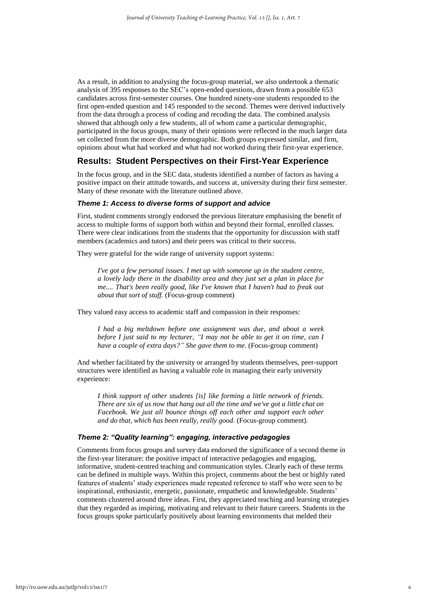As a result, in addition to analysing the focus-group material, we also undertook a thematic analysis of 395 responses to the SEC's open-ended questions, drawn from a possible 653 candidates across first-semester courses. One hundred ninety-one students responded to the first open-ended question and 145 responded to the second. Themes were derived inductively from the data through a process of coding and recoding the data. The combined analysis showed that although only a few students, all of whom came a particular demographic, participated in the focus groups, many of their opinions were reflected in the much larger data set collected from the more diverse demographic. Both groups expressed similar, and firm, opinions about what had worked and what had *not* worked during their first-year experience.

## **Results: Student Perspectives on their First-Year Experience**

In the focus group, and in the SEC data, students identified a number of factors as having a positive impact on their attitude towards, and success at, university during their first semester. Many of these resonate with the literature outlined above.

#### *Theme 1: Access to diverse forms of support and advice*

First, student comments strongly endorsed the previous literature emphasising the benefit of access to multiple forms of support both within and beyond their formal, enrolled classes. There were clear indications from the students that the opportunity for discussion with staff members (academics and tutors) and their peers was critical to their success.

They were grateful for the wide range of university support systems:

*I've got a few personal issues. I met up with someone up in the student centre, a lovely lady there in the disability area and they just set a plan in place for me.... That's been really good, like I've known that I haven't had to freak out about that sort of stuff.* (Focus-group comment)

They valued easy access to academic staff and compassion in their responses:

*I had a big meltdown before one assignment was due, and about a week before I just said to my lecturer, "I may not be able to get it on time, can I have a couple of extra days?" She gave them to me.* (Focus-group comment)

And whether facilitated by the university or arranged by students themselves, peer-support structures were identified as having a valuable role in managing their early university experience:

*I think support of other students [is] like forming a little network of friends. There are six of us now that hang out all the time and we've got a little chat on Facebook. We just all bounce things off each other and support each other and do that, which has been really, really good.* (Focus-group comment)*.*

#### *Theme 2: "Quality learning": engaging, interactive pedagogies*

Comments from focus groups and survey data endorsed the significance of a second theme in the first-year literature: the positive impact of interactive pedagogies and engaging, informative, student-centred teaching and communication styles. Clearly each of these terms can be defined in multiple ways. Within this project, comments about the best or highly rated features of students' study experiences made repeated reference to staff who were seen to be inspirational, enthusiastic, energetic, passionate, empathetic and knowledgeable. Students' comments clustered around three ideas. First, they appreciated teaching and learning strategies that they regarded as inspiring, motivating and relevant to their future careers. Students in the focus groups spoke particularly positively about learning environments that melded their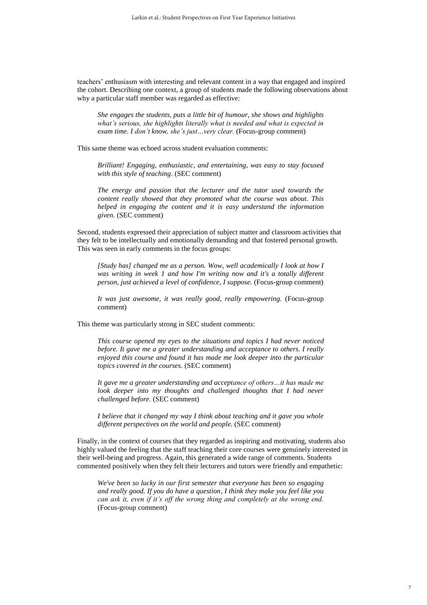teachers' enthusiasm with interesting and relevant content in a way that engaged and inspired the cohort. Describing one context, a group of students made the following observations about why a particular staff member was regarded as effective:

*She engages the students, puts a little bit of humour, she shows and highlights what's serious, she highlights literally what is needed and what is expected in exam time. I don't know, she's just…very clear.* (Focus-group comment)

This same theme was echoed across student evaluation comments:

*Brilliant! Engaging, enthusiastic, and entertaining, was easy to stay focused with this style of teaching*. (SEC comment)

*The energy and passion that the lecturer and the tutor used towards the content really showed that they promoted what the course was about. This helped in engaging the content and it is easy understand the information given.* (SEC comment)

Second, students expressed their appreciation of subject matter and classroom activities that they felt to be intellectually and emotionally demanding and that fostered personal growth. This was seen in early comments in the focus groups:

*[Study has] changed me as a person. Wow, well academically I look at how I was writing in week 1 and how I'm writing now and it's a totally different person, just achieved a level of confidence, I suppose.* (Focus-group comment)

*It was just awesome, it was really good, really empowering.* (Focus-group comment)

This theme was particularly strong in SEC student comments:

*This course opened my eyes to the situations and topics I had never noticed before. It gave me a greater understanding and acceptance to others. I really enjoyed this course and found it has made me look deeper into the particular topics covered in the courses.* (SEC comment)

*It gave me a greater understanding and acceptance of others…it has made me look deeper into my thoughts and challenged thoughts that I had never challenged before.* (SEC comment)

*I believe that it changed my way I think about teaching and it gave you whole different perspectives on the world and people.* (SEC comment)

Finally, in the context of courses that they regarded as inspiring and motivating, students also highly valued the feeling that the staff teaching their core courses were genuinely interested in their well-being and progress. Again, this generated a wide range of comments. Students commented positively when they felt their lecturers and tutors were friendly and empathetic:

*We've been so lucky in our first semester that everyone has been so engaging and really good. If you do have a question, I think they make you feel like you can ask it, even if it's off the wrong thing and completely at the wrong end.*  (Focus-group comment)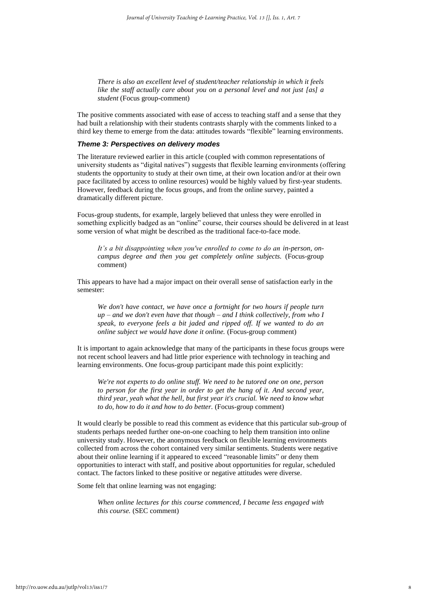*There is also an excellent level of student/teacher relationship in which it feels like the staff actually care about you on a personal level and not just [as] a student* (Focus group-comment)

The positive comments associated with ease of access to teaching staff and a sense that they had built a relationship with their students contrasts sharply with the comments linked to a third key theme to emerge from the data: attitudes towards "flexible" learning environments.

#### *Theme 3: Perspectives on delivery modes*

The literature reviewed earlier in this article (coupled with common representations of university students as "digital natives") suggests that flexible learning environments (offering students the opportunity to study at their own time, at their own location and/or at their own pace facilitated by access to online resources) would be highly valued by first-year students. However, feedback during the focus groups, and from the online survey, painted a dramatically different picture.

Focus-group students, for example, largely believed that unless they were enrolled in something explicitly badged as an "online" course, their courses should be delivered in at least some version of what might be described as the traditional face-to-face mode.

*It's a bit disappointing when you've enrolled to come to do an in-person, oncampus degree and then you get completely online subjects.* (Focus-group comment)

This appears to have had a major impact on their overall sense of satisfaction early in the semester:

*We don't have contact, we have once a fortnight for two hours if people turn up – and we don't even have that though – and I think collectively, from who I speak, to everyone feels a bit jaded and ripped off. If we wanted to do an online subject we would have done it online.* (Focus-group comment)

It is important to again acknowledge that many of the participants in these focus groups were not recent school leavers and had little prior experience with technology in teaching and learning environments. One focus-group participant made this point explicitly:

*We're not experts to do online stuff. We need to be tutored one on one, person to person for the first year in order to get the hang of it. And second year, third year, yeah what the hell, but first year it's crucial. We need to know what to do, how to do it and how to do better.* (Focus-group comment)

It would clearly be possible to read this comment as evidence that this particular sub-group of students perhaps needed further one-on-one coaching to help them transition into online university study. However, the anonymous feedback on flexible learning environments collected from across the cohort contained very similar sentiments. Students were negative about their online learning if it appeared to exceed "reasonable limits" or deny them opportunities to interact with staff, and positive about opportunities for regular, scheduled contact. The factors linked to these positive or negative attitudes were diverse.

Some felt that online learning was not engaging:

*When online lectures for this course commenced, I became less engaged with this course.* (SEC comment)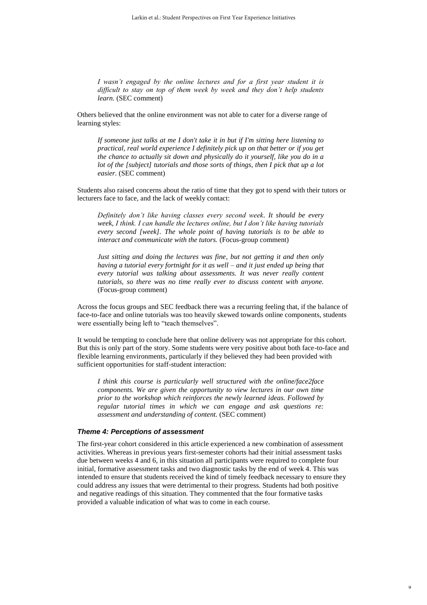*I wasn't engaged by the online lectures and for a first year student it is difficult to stay on top of them week by week and they don't help students learn.* (SEC comment)

Others believed that the online environment was not able to cater for a diverse range of learning styles:

*If someone just talks at me I don't take it in but if I'm sitting here listening to practical, real world experience I definitely pick up on that better or if you get the chance to actually sit down and physically do it yourself, like you do in a lot of the [subject] tutorials and those sorts of things, then I pick that up a lot easier.* (SEC comment)

Students also raised concerns about the ratio of time that they got to spend with their tutors or lecturers face to face, and the lack of weekly contact:

*Definitely don't like having classes every second week. It should be every week, I think. I can handle the lectures online, but I don't like having tutorials every second [week]. The whole point of having tutorials is to be able to interact and communicate with the tutors.* (Focus-group comment)

*Just sitting and doing the lectures was fine, but not getting it and then only having a tutorial every fortnight for it as well – and it just ended up being that every tutorial was talking about assessments. It was never really content tutorials, so there was no time really ever to discuss content with anyone.* (Focus-group comment)

Across the focus groups and SEC feedback there was a recurring feeling that, if the balance of face-to-face and online tutorials was too heavily skewed towards online components, students were essentially being left to "teach themselves".

It would be tempting to conclude here that online delivery was not appropriate for this cohort. But this is only part of the story. Some students were very positive about both face-to-face and flexible learning environments, particularly if they believed they had been provided with sufficient opportunities for staff-student interaction:

*I think this course is particularly well structured with the online/face2face components. We are given the opportunity to view lectures in our own time prior to the workshop which reinforces the newly learned ideas. Followed by regular tutorial times in which we can engage and ask questions re: assessment and understanding of content.* (SEC comment)

#### *Theme 4: Perceptions of assessment*

The first-year cohort considered in this article experienced a new combination of assessment activities. Whereas in previous years first-semester cohorts had their initial assessment tasks due between weeks 4 and 6, in this situation all participants were required to complete four initial, formative assessment tasks and two diagnostic tasks by the end of week 4. This was intended to ensure that students received the kind of timely feedback necessary to ensure they could address any issues that were detrimental to their progress. Students had both positive and negative readings of this situation. They commented that the four formative tasks provided a valuable indication of what was to come in each course.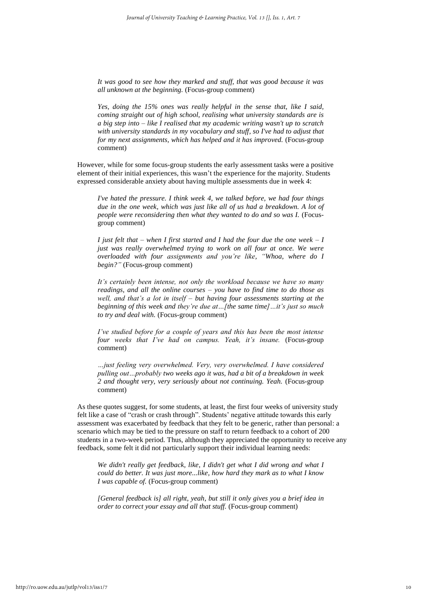*It was good to see how they marked and stuff, that was good because it was all unknown at the beginning.* (Focus-group comment)

*Yes, doing the 15% ones was really helpful in the sense that, like I said, coming straight out of high school, realising what university standards are is a big step into – like I realised that my academic writing wasn't up to scratch with university standards in my vocabulary and stuff, so I've had to adjust that for my next assignments, which has helped and it has improved.* (Focus-group comment)

However, while for some focus-group students the early assessment tasks were a positive element of their initial experiences, this wasn't the experience for the majority. Students expressed considerable anxiety about having multiple assessments due in week 4:

*I've hated the pressure. I think week 4, we talked before, we had four things due in the one week, which was just like all of us had a breakdown. A lot of people were reconsidering then what they wanted to do and so was I.* (Focusgroup comment)

*I just felt that – when I first started and I had the four due the one week – I just was really overwhelmed trying to work on all four at once. We were overloaded with four assignments and you're like, "Whoa, where do I begin?"* (Focus-group comment)

*It's certainly been intense, not only the workload because we have so many readings, and all the online courses – you have to find time to do those as well, and that's a lot in itself – but having four assessments starting at the beginning of this week and they're due at…[the same time]…it's just so much to try and deal with.* (Focus-group comment)

*I've studied before for a couple of years and this has been the most intense four weeks that I've had on campus. Yeah, it's insane.* (Focus-group comment)

*…just feeling very overwhelmed. Very, very overwhelmed. I have considered pulling out…probably two weeks ago it was, had a bit of a breakdown in week 2 and thought very, very seriously about not continuing. Yeah.* (Focus-group comment)

As these quotes suggest, for some students, at least, the first four weeks of university study felt like a case of "crash or crash through". Students' negative attitude towards this early assessment was exacerbated by feedback that they felt to be generic, rather than personal: a scenario which may be tied to the pressure on staff to return feedback to a cohort of 200 students in a two-week period. Thus, although they appreciated the opportunity to receive any feedback, some felt it did not particularly support their individual learning needs:

*We didn't really get feedback, like, I didn't get what I did wrong and what I could do better. It was just more...like, how hard they mark as to what I know I was capable of.* (Focus-group comment)

*[General feedback is] all right, yeah, but still it only gives you a brief idea in order to correct your essay and all that stuff.* (Focus-group comment)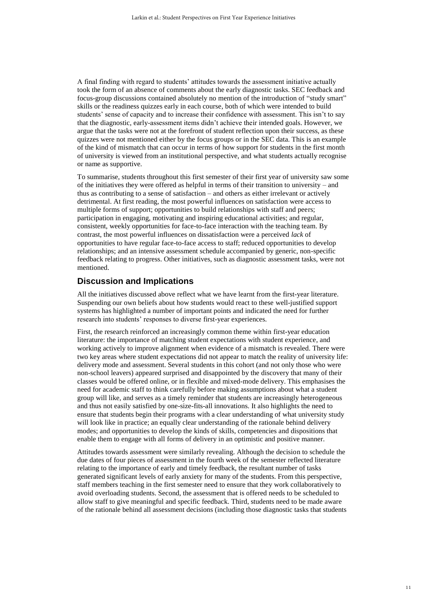A final finding with regard to students' attitudes towards the assessment initiative actually took the form of an absence of comments about the early diagnostic tasks. SEC feedback and focus-group discussions contained absolutely no mention of the introduction of "study smart" skills or the readiness quizzes early in each course, both of which were intended to build students' sense of capacity and to increase their confidence with assessment. This isn't to say that the diagnostic, early-assessment items didn't achieve their intended goals. However, we argue that the tasks were not at the forefront of student reflection upon their success, as these quizzes were not mentioned either by the focus groups or in the SEC data. This is an example of the kind of mismatch that can occur in terms of how support for students in the first month of university is viewed from an institutional perspective, and what students actually recognise or name as supportive.

To summarise, students throughout this first semester of their first year of university saw some of the initiatives they were offered as helpful in terms of their transition to university – and thus as contributing to a sense of satisfaction – and others as either irrelevant or actively detrimental. At first reading, the most powerful influences on satisfaction were access to multiple forms of support; opportunities to build relationships with staff and peers; participation in engaging, motivating and inspiring educational activities; and regular, consistent, weekly opportunities for face-to-face interaction with the teaching team. By contrast, the most powerful influences on dissatisfaction were a perceived *lack* of opportunities to have regular face-to-face access to staff; reduced opportunities to develop relationships; and an intensive assessment schedule accompanied by generic, non-specific feedback relating to progress. Other initiatives, such as diagnostic assessment tasks, were not mentioned.

## **Discussion and Implications**

All the initiatives discussed above reflect what we have learnt from the first-year literature. Suspending our own beliefs about how students would react to these well-justified support systems has highlighted a number of important points and indicated the need for further research into students' responses to diverse first-year experiences.

First, the research reinforced an increasingly common theme within first-year education literature: the importance of matching student expectations with student experience, and working actively to improve alignment when evidence of a mismatch is revealed. There were two key areas where student expectations did not appear to match the reality of university life: delivery mode and assessment. Several students in this cohort (and not only those who were non-school leavers) appeared surprised and disappointed by the discovery that many of their classes would be offered online, or in flexible and mixed-mode delivery. This emphasises the need for academic staff to think carefully before making assumptions about what a student group will like, and serves as a timely reminder that students are increasingly heterogeneous and thus not easily satisfied by one-size-fits-all innovations. It also highlights the need to ensure that students begin their programs with a clear understanding of what university study will look like in practice; an equally clear understanding of the rationale behind delivery modes; and opportunities to develop the kinds of skills, competencies and dispositions that enable them to engage with all forms of delivery in an optimistic and positive manner.

Attitudes towards assessment were similarly revealing. Although the decision to schedule the due dates of four pieces of assessment in the fourth week of the semester reflected literature relating to the importance of early and timely feedback, the resultant number of tasks generated significant levels of early anxiety for many of the students. From this perspective, staff members teaching in the first semester need to ensure that they work collaboratively to avoid overloading students. Second, the assessment that is offered needs to be scheduled to allow staff to give meaningful and specific feedback. Third, students need to be made aware of the rationale behind all assessment decisions (including those diagnostic tasks that students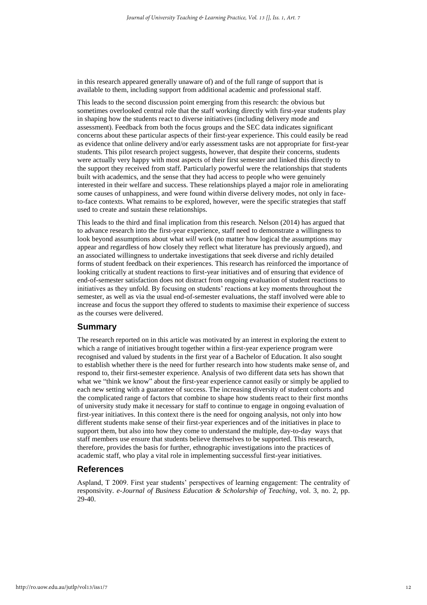in this research appeared generally unaware of) and of the full range of support that is available to them, including support from additional academic and professional staff.

This leads to the second discussion point emerging from this research: the obvious but sometimes overlooked central role that the staff working directly with first-year students play in shaping how the students react to diverse initiatives (including delivery mode and assessment). Feedback from both the focus groups and the SEC data indicates significant concerns about these particular aspects of their first-year experience. This could easily be read as evidence that online delivery and/or early assessment tasks are not appropriate for first-year students. This pilot research project suggests, however, that despite their concerns, students were actually very happy with most aspects of their first semester and linked this directly to the support they received from staff. Particularly powerful were the relationships that students built with academics, and the sense that they had access to people who were genuinely interested in their welfare and success. These relationships played a major role in ameliorating some causes of unhappiness, and were found within diverse delivery modes, not only in faceto-face contexts. What remains to be explored, however, were the specific strategies that staff used to create and sustain these relationships.

This leads to the third and final implication from this research. Nelson (2014) has argued that to advance research into the first-year experience, staff need to demonstrate a willingness to look beyond assumptions about what *will* work (no matter how logical the assumptions may appear and regardless of how closely they reflect what literature has previously argued), and an associated willingness to undertake investigations that seek diverse and richly detailed forms of student feedback on their experiences. This research has reinforced the importance of looking critically at student reactions to first-year initiatives and of ensuring that evidence of end-of-semester satisfaction does not distract from ongoing evaluation of student reactions to initiatives as they unfold. By focusing on students' reactions at key moments throughout the semester, as well as via the usual end-of-semester evaluations, the staff involved were able to increase and focus the support they offered to students to maximise their experience of success as the courses were delivered.

## **Summary**

The research reported on in this article was motivated by an interest in exploring the extent to which a range of initiatives brought together within a first-year experience program were recognised and valued by students in the first year of a Bachelor of Education. It also sought to establish whether there is the need for further research into how students make sense of, and respond to, their first-semester experience. Analysis of two different data sets has shown that what we "think we know" about the first-year experience cannot easily or simply be applied to each new setting with a guarantee of success. The increasing diversity of student cohorts and the complicated range of factors that combine to shape how students react to their first months of university study make it necessary for staff to continue to engage in ongoing evaluation of first-year initiatives. In this context there is the need for ongoing analysis, not only into how different students make sense of their first-year experiences and of the initiatives in place to support them, but also into how they come to understand the multiple, day-to-day ways that staff members use ensure that students believe themselves to be supported. This research, therefore, provides the basis for further, ethnographic investigations into the practices of academic staff, who play a vital role in implementing successful first-year initiatives.

## **References**

Aspland, T 2009. First year students' perspectives of learning engagement: The centrality of responsivity. *e-Journal of Business Education & Scholarship of Teaching*, vol. 3, no. 2, pp. 29-40.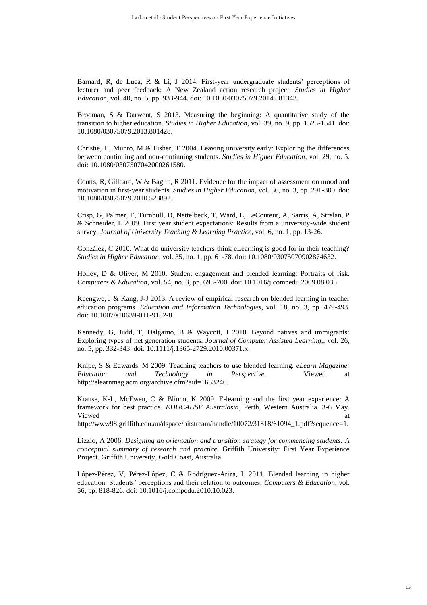Barnard, R, de Luca, R & Li, J 2014. First-year undergraduate students' perceptions of lecturer and peer feedback: A New Zealand action research project. *Studies in Higher Education*, vol. 40, no. 5, pp. 933-944. doi: 10.1080/03075079.2014.881343.

Brooman, S & Darwent, S 2013. Measuring the beginning: A quantitative study of the transition to higher education. *Studies in Higher Education*, vol. 39, no. 9, pp. 1523-1541. doi: 10.1080/03075079.2013.801428.

Christie, H, Munro, M & Fisher, T 2004. Leaving university early: Exploring the differences between continuing and non-continuing students. *Studies in Higher Education*, vol. 29, no. 5. doi: 10.1080/0307507042000261580.

Coutts, R, Gilleard, W & Baglin, R 2011. Evidence for the impact of assessment on mood and motivation in first-year students. *Studies in Higher Education*, vol. 36, no. 3, pp. 291-300. doi: 10.1080/03075079.2010.523892.

Crisp, G, Palmer, E, Turnbull, D, Nettelbeck, T, Ward, L, LeCouteur, A, Sarris, A, Strelan, P & Schneider, L 2009. First year student expectations: Results from a university-wide student survey. *Journal of University Teaching & Learning Practice*, vol. 6, no. 1, pp. 13-26.

González, C 2010. What do university teachers think eLearning is good for in their teaching? *Studies in Higher Education*, vol. 35, no. 1, pp. 61-78. doi: 10.1080/03075070902874632.

Holley, D & Oliver, M 2010. Student engagement and blended learning: Portraits of risk. *Computers & Education*, vol. 54, no. 3, pp. 693-700. doi: 10.1016/j.compedu.2009.08.035.

Keengwe, J & Kang, J-J 2013. A review of empirical research on blended learning in teacher education programs. *Education and Information Technologies*, vol. 18, no. 3, pp. 479-493. doi: 10.1007/s10639-011-9182-8.

Kennedy, G, Judd, T, Dalgarno, B & Waycott, J 2010. Beyond natives and immigrants: Exploring types of net generation students. *Journal of Computer Assisted Learning,*, vol. 26, no. 5, pp. 332-343. doi: 10.1111/j.1365-2729.2010.00371.x.

Knipe, S & Edwards, M 2009. Teaching teachers to use blended learning. *eLearn Magazine: Education and Technology in Perspective*. Viewed at http://elearnmag.acm.org/archive.cfm?aid=1653246.

Krause, K-L, McEwen, C & Blinco, K 2009. E-learning and the first year experience: A framework for best practice. *EDUCAUSE Australasia*, Perth, Western Australia. 3-6 May. Viewed at the contract of the contract of the contract of the contract of the contract of the contract of the contract of the contract of the contract of the contract of the contract of the contract of the contract of the

http://www98.griffith.edu.au/dspace/bitstream/handle/10072/31818/61094\_1.pdf?sequence=1.

Lizzio, A 2006. *Designing an orientation and transition strategy for commencing students: A conceptual summary of research and practice*. Griffith University: First Year Experience Project. Griffith University, Gold Coast, Australia.

López-Pérez, V, Pérez-López, C & Rodríguez-Ariza, L 2011. Blended learning in higher education: Students' perceptions and their relation to outcomes. *Computers & Education*, vol. 56, pp. 818-826. doi: 10.1016/j.compedu.2010.10.023.